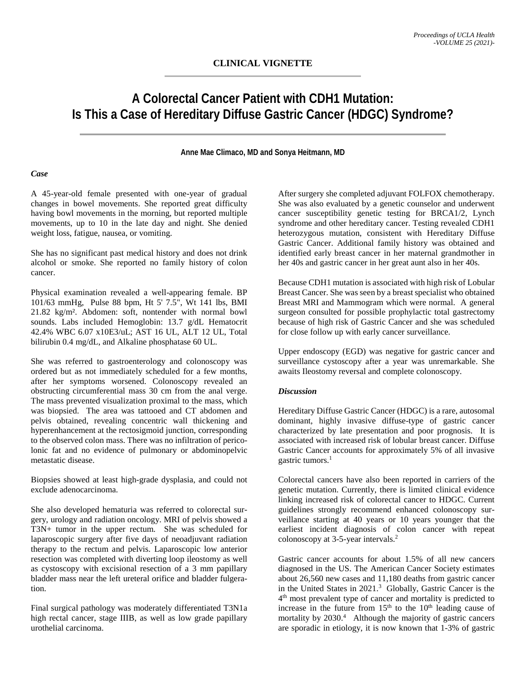# **A Colorectal Cancer Patient with CDH1 Mutation: Is This a Case of Hereditary Diffuse Gastric Cancer (HDGC) Syndrome?**

## **Anne Mae Climaco, MD and Sonya Heitmann, MD**

#### *Case*

A 45-year-old female presented with one-year of gradual changes in bowel movements. She reported great difficulty having bowl movements in the morning, but reported multiple movements, up to 10 in the late day and night. She denied weight loss, fatigue, nausea, or vomiting.

She has no significant past medical history and does not drink alcohol or smoke. She reported no family history of colon cancer.

Physical examination revealed a well-appearing female. BP 101/63 mmHg, Pulse 88 bpm, Ht 5' 7.5", Wt 141 lbs, BMI 21.82 kg/m². Abdomen: soft, nontender with normal bowl sounds. Labs included Hemoglobin: 13.7 g/dL Hematocrit 42.4% WBC 6.07 x10E3/uL; AST 16 UL, ALT 12 UL, Total bilirubin 0.4 mg/dL, and Alkaline phosphatase 60 UL.

She was referred to gastroenterology and colonoscopy was ordered but as not immediately scheduled for a few months, after her symptoms worsened. Colonoscopy revealed an obstructing circumferential mass 30 cm from the anal verge. The mass prevented visualization proximal to the mass, which was biopsied. The area was tattooed and CT abdomen and pelvis obtained, revealing concentric wall thickening and hyperenhancement at the rectosigmoid junction, corresponding to the observed colon mass. There was no infiltration of pericolonic fat and no evidence of pulmonary or abdominopelvic metastatic disease.

Biopsies showed at least high-grade dysplasia, and could not exclude adenocarcinoma.

She also developed hematuria was referred to colorectal surgery, urology and radiation oncology. MRI of pelvis showed a T3N+ tumor in the upper rectum. She was scheduled for laparoscopic surgery after five days of neoadjuvant radiation therapy to the rectum and pelvis. Laparoscopic low anterior resection was completed with diverting loop ileostomy as well as cystoscopy with excisional resection of a 3 mm papillary bladder mass near the left ureteral orifice and bladder fulgeration.

Final surgical pathology was moderately differentiated T3N1a high rectal cancer, stage IIIB, as well as low grade papillary urothelial carcinoma.

After surgery she completed adjuvant FOLFOX chemotherapy. She was also evaluated by a genetic counselor and underwent cancer susceptibility genetic testing for BRCA1/2, Lynch syndrome and other hereditary cancer. Testing revealed CDH1 heterozygous mutation, consistent with Hereditary Diffuse Gastric Cancer. Additional family history was obtained and identified early breast cancer in her maternal grandmother in her 40s and gastric cancer in her great aunt also in her 40s.

Because CDH1 mutation is associated with high risk of Lobular Breast Cancer. She was seen by a breast specialist who obtained Breast MRI and Mammogram which were normal. A general surgeon consulted for possible prophylactic total gastrectomy because of high risk of Gastric Cancer and she was scheduled for close follow up with early cancer surveillance.

Upper endoscopy (EGD) was negative for gastric cancer and surveillance cystoscopy after a year was unremarkable. She awaits Ileostomy reversal and complete colonoscopy.

## *Discussion*

Hereditary Diffuse Gastric Cancer (HDGC) is a rare, autosomal dominant, highly invasive diffuse-type of gastric cancer characterized by late presentation and poor prognosis. It is associated with increased risk of lobular breast cancer. Diffuse Gastric Cancer accounts for approximately 5% of all invasive gastric tumors. 1

Colorectal cancers have also been reported in carriers of the genetic mutation. Currently, there is limited clinical evidence linking increased risk of colorectal cancer to HDGC. Current guidelines strongly recommend enhanced colonoscopy surveillance starting at 40 years or 10 years younger that the earliest incident diagnosis of colon cancer with repeat colonoscopy at 3-5-year intervals. 2

Gastric cancer accounts for about 1.5% of all new cancers diagnosed in the US. The American Cancer Society estimates about 26,560 new cases and 11,180 deaths from gastric cancer in the United States in 2021.3 Globally, Gastric Cancer is the  $4<sup>th</sup>$  most prevalent type of cancer and mortality is predicted to increase in the future from  $15<sup>th</sup>$  to the  $10<sup>th</sup>$  leading cause of mortality by  $2030<sup>4</sup>$  Although the majority of gastric cancers are sporadic in etiology, it is now known that 1-3% of gastric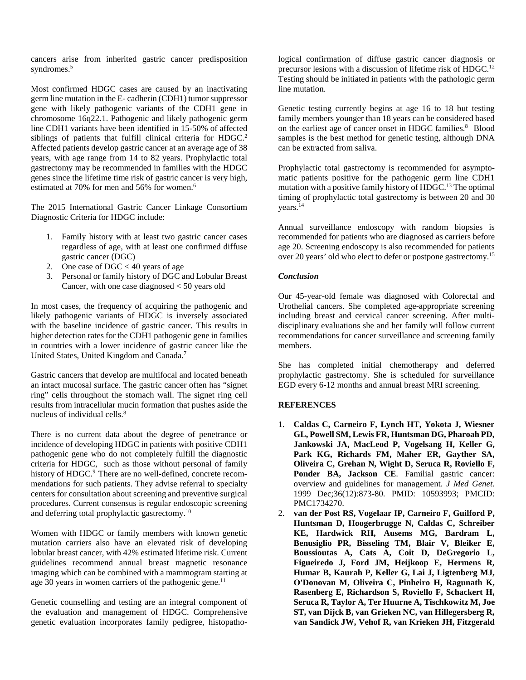cancers arise from inherited gastric cancer predisposition syndromes.<sup>5</sup>

Most confirmed HDGC cases are caused by an inactivating germ line mutation in the E- cadherin (CDH1) tumor suppressor gene with likely pathogenic variants of the CDH1 gene in chromosome 16q22.1. Pathogenic and likely pathogenic germ line CDH1 variants have been identified in 15-50% of affected siblings of patients that fulfill clinical criteria for HDGC.<sup>2</sup> Affected patients develop gastric cancer at an average age of 38 years, with age range from 14 to 82 years. Prophylactic total gastrectomy may be recommended in families with the HDGC genes since the lifetime time risk of gastric cancer is very high, estimated at 70% for men and 56% for women.<sup>6</sup>

The 2015 International Gastric Cancer Linkage Consortium Diagnostic Criteria for HDGC include:

- 1. Family history with at least two gastric cancer cases regardless of age, with at least one confirmed diffuse gastric cancer (DGC)
- 2. One case of  $DGC < 40$  years of age
- 3. Personal or family history of DGC and Lobular Breast Cancer, with one case diagnosed < 50 years old

In most cases, the frequency of acquiring the pathogenic and likely pathogenic variants of HDGC is inversely associated with the baseline incidence of gastric cancer. This results in higher detection rates for the CDH1 pathogenic gene in families in countries with a lower incidence of gastric cancer like the United States, United Kingdom and Canada.7

Gastric cancers that develop are multifocal and located beneath an intact mucosal surface. The gastric cancer often has "signet ring" cells throughout the stomach wall. The signet ring cell results from intracellular mucin formation that pushes aside the nucleus of individual cells.<sup>8</sup>

There is no current data about the degree of penetrance or incidence of developing HDGC in patients with positive CDH1 pathogenic gene who do not completely fulfill the diagnostic criteria for HDGC, such as those without personal of family history of HDGC.<sup>9</sup> There are no well-defined, concrete recommendations for such patients. They advise referral to specialty centers for consultation about screening and preventive surgical procedures. Current consensus is regular endoscopic screening and deferring total prophylactic gastrectomy.10

Women with HDGC or family members with known genetic mutation carriers also have an elevated risk of developing lobular breast cancer, with 42% estimated lifetime risk. Current guidelines recommend annual breast magnetic resonance imaging which can be combined with a mammogram starting at age 30 years in women carriers of the pathogenic gene.<sup>11</sup>

Genetic counselling and testing are an integral component of the evaluation and management of HDGC. Comprehensive genetic evaluation incorporates family pedigree, histopatho-

logical confirmation of diffuse gastric cancer diagnosis or precursor lesions with a discussion of lifetime risk of HDGC.12 Testing should be initiated in patients with the pathologic germ line mutation.

Genetic testing currently begins at age 16 to 18 but testing family members younger than 18 years can be considered based on the earliest age of cancer onset in HDGC families. 8 Blood samples is the best method for genetic testing, although DNA can be extracted from saliva.

Prophylactic total gastrectomy is recommended for asymptomatic patients positive for the pathogenic germ line CDH1 mutation with a positive family history of HDGC.13 The optimal timing of prophylactic total gastrectomy is between 20 and 30 years. 14

Annual surveillance endoscopy with random biopsies is recommended for patients who are diagnosed as carriers before age 20. Screening endoscopy is also recommended for patients over 20 years' old who elect to defer or postpone gastrectomy. 15

# *Conclusion*

Our 45-year-old female was diagnosed with Colorectal and Urothelial cancers. She completed age-appropriate screening including breast and cervical cancer screening. After multidisciplinary evaluations she and her family will follow current recommendations for cancer surveillance and screening family members.

She has completed initial chemotherapy and deferred prophylactic gastrectomy. She is scheduled for surveillance EGD every 6-12 months and annual breast MRI screening.

#### **REFERENCES**

- 1. **Caldas C, Carneiro F, Lynch HT, Yokota J, Wiesner GL, Powell SM, Lewis FR, Huntsman DG, Pharoah PD, Jankowski JA, MacLeod P, Vogelsang H, Keller G, Park KG, Richards FM, Maher ER, Gayther SA, Oliveira C, Grehan N, Wight D, Seruca R, Roviello F, Ponder BA, Jackson CE**. Familial gastric cancer: overview and guidelines for management. *J Med Genet*. 1999 Dec;36(12):873-80. PMID: 10593993; PMCID: PMC1734270.
- 2. **van der Post RS, Vogelaar IP, Carneiro F, Guilford P, Huntsman D, Hoogerbrugge N, Caldas C, Schreiber KE, Hardwick RH, Ausems MG, Bardram L, Benusiglio PR, Bisseling TM, Blair V, Bleiker E, Boussioutas A, Cats A, Coit D, DeGregorio L, Figueiredo J, Ford JM, Heijkoop E, Hermens R, Humar B, Kaurah P, Keller G, Lai J, Ligtenberg MJ, O'Donovan M, Oliveira C, Pinheiro H, Ragunath K, Rasenberg E, Richardson S, Roviello F, Schackert H, Seruca R, Taylor A, Ter Huurne A, Tischkowitz M, Joe ST, van Dijck B, van Grieken NC, van Hillegersberg R, van Sandick JW, Vehof R, van Krieken JH, Fitzgerald**